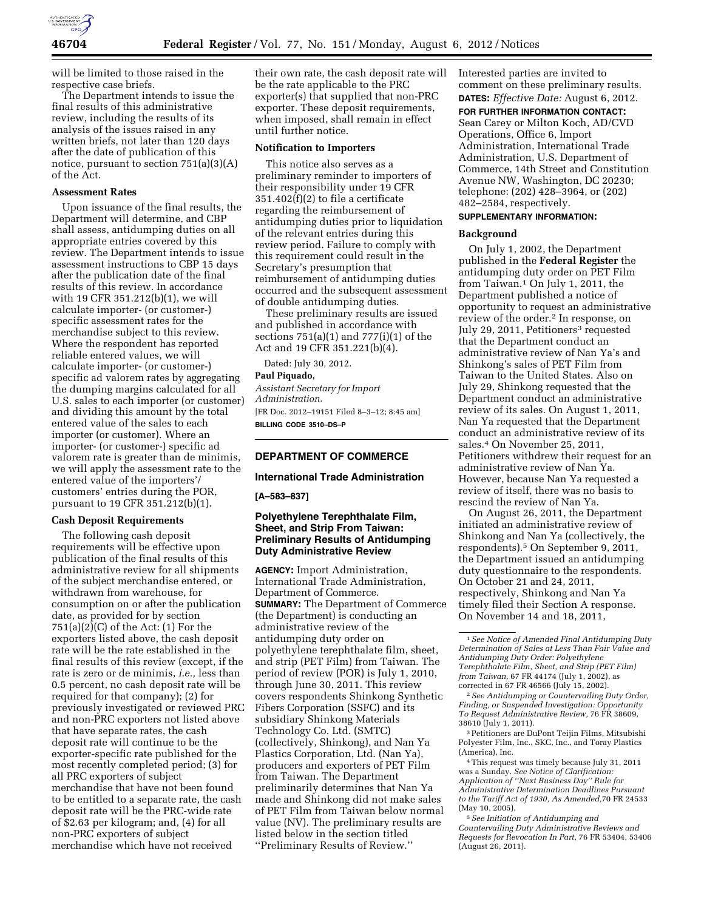

will be limited to those raised in the respective case briefs.

The Department intends to issue the final results of this administrative review, including the results of its analysis of the issues raised in any written briefs, not later than 120 days after the date of publication of this notice, pursuant to section 751(a)(3)(A) of the Act.

#### **Assessment Rates**

Upon issuance of the final results, the Department will determine, and CBP shall assess, antidumping duties on all appropriate entries covered by this review. The Department intends to issue assessment instructions to CBP 15 days after the publication date of the final results of this review. In accordance with 19 CFR 351.212(b)(1), we will calculate importer- (or customer-) specific assessment rates for the merchandise subject to this review. Where the respondent has reported reliable entered values, we will calculate importer- (or customer-) specific ad valorem rates by aggregating the dumping margins calculated for all U.S. sales to each importer (or customer) and dividing this amount by the total entered value of the sales to each importer (or customer). Where an importer- (or customer-) specific ad valorem rate is greater than de minimis, we will apply the assessment rate to the entered value of the importers'/ customers' entries during the POR, pursuant to 19 CFR 351.212(b)(1).

## **Cash Deposit Requirements**

The following cash deposit requirements will be effective upon publication of the final results of this administrative review for all shipments of the subject merchandise entered, or withdrawn from warehouse, for consumption on or after the publication date, as provided for by section  $751(a)(2)(C)$  of the Act:  $(1)$  For the exporters listed above, the cash deposit rate will be the rate established in the final results of this review (except, if the rate is zero or de minimis, *i.e.,* less than 0.5 percent, no cash deposit rate will be required for that company); (2) for previously investigated or reviewed PRC and non-PRC exporters not listed above that have separate rates, the cash deposit rate will continue to be the exporter-specific rate published for the most recently completed period; (3) for all PRC exporters of subject merchandise that have not been found to be entitled to a separate rate, the cash deposit rate will be the PRC-wide rate of \$2.63 per kilogram; and, (4) for all non-PRC exporters of subject merchandise which have not received

their own rate, the cash deposit rate will be the rate applicable to the PRC exporter(s) that supplied that non-PRC exporter. These deposit requirements, when imposed, shall remain in effect until further notice.

### **Notification to Importers**

This notice also serves as a preliminary reminder to importers of their responsibility under 19 CFR 351.402(f)(2) to file a certificate regarding the reimbursement of antidumping duties prior to liquidation of the relevant entries during this review period. Failure to comply with this requirement could result in the Secretary's presumption that reimbursement of antidumping duties occurred and the subsequent assessment of double antidumping duties.

These preliminary results are issued and published in accordance with sections 751(a)(1) and 777(i)(1) of the Act and 19 CFR 351.221(b)(4).

Dated: July 30, 2012.

## **Paul Piquado,**

*Assistant Secretary for Import Administration.*  [FR Doc. 2012–19151 Filed 8–3–12; 8:45 am] **BILLING CODE 3510–DS–P** 

# **DEPARTMENT OF COMMERCE**

#### **International Trade Administration**

**[A–583–837]** 

# **Polyethylene Terephthalate Film, Sheet, and Strip From Taiwan: Preliminary Results of Antidumping Duty Administrative Review**

**AGENCY:** Import Administration, International Trade Administration, Department of Commerce. **SUMMARY:** The Department of Commerce (the Department) is conducting an administrative review of the antidumping duty order on polyethylene terephthalate film, sheet, and strip (PET Film) from Taiwan. The period of review (POR) is July 1, 2010, through June 30, 2011. This review covers respondents Shinkong Synthetic Fibers Corporation (SSFC) and its subsidiary Shinkong Materials Technology Co. Ltd. (SMTC) (collectively, Shinkong), and Nan Ya Plastics Corporation, Ltd. (Nan Ya), producers and exporters of PET Film from Taiwan. The Department preliminarily determines that Nan Ya made and Shinkong did not make sales of PET Film from Taiwan below normal value (NV). The preliminary results are listed below in the section titled ''Preliminary Results of Review.''

Interested parties are invited to comment on these preliminary results. **DATES:** *Effective Date:* August 6, 2012.

**FOR FURTHER INFORMATION CONTACT:** 

Sean Carey or Milton Koch, AD/CVD Operations, Office 6, Import Administration, International Trade Administration, U.S. Department of Commerce, 14th Street and Constitution Avenue NW, Washington, DC 20230; telephone: (202) 428–3964, or (202) 482–2584, respectively.

# **SUPPLEMENTARY INFORMATION:**

### **Background**

On July 1, 2002, the Department published in the **Federal Register** the antidumping duty order on PET Film from Taiwan.1 On July 1, 2011, the Department published a notice of opportunity to request an administrative review of the order.<sup>2</sup> In response, on July 29, 2011, Petitioners<sup>3</sup> requested that the Department conduct an administrative review of Nan Ya's and Shinkong's sales of PET Film from Taiwan to the United States. Also on July 29, Shinkong requested that the Department conduct an administrative review of its sales. On August 1, 2011, Nan Ya requested that the Department conduct an administrative review of its sales.4 On November 25, 2011, Petitioners withdrew their request for an administrative review of Nan Ya. However, because Nan Ya requested a review of itself, there was no basis to rescind the review of Nan Ya.

On August 26, 2011, the Department initiated an administrative review of Shinkong and Nan Ya (collectively, the respondents).5 On September 9, 2011, the Department issued an antidumping duty questionnaire to the respondents. On October 21 and 24, 2011, respectively, Shinkong and Nan Ya timely filed their Section A response. On November 14 and 18, 2011,

3Petitioners are DuPont Teijin Films, Mitsubishi Polyester Film, Inc., SKC, Inc., and Toray Plastics (America), Inc.

4This request was timely because July 31, 2011 was a Sunday. *See Notice of Clarification: Application of ''Next Business Day'' Rule for Administrative Determination Deadlines Pursuant to the Tariff Act of 1930, As Amended,*70 FR 24533 (May 10, 2005).

5*See Initiation of Antidumping and Countervailing Duty Administrative Reviews and Requests for Revocation In Part,* 76 FR 53404, 53406 (August 26, 2011).

<sup>1</sup>*See Notice of Amended Final Antidumping Duty Determination of Sales at Less Than Fair Value and Antidumping Duty Order: Polyethylene Terephthalate Film, Sheet, and Strip (PET Film) from Taiwan,* 67 FR 44174 (July 1, 2002), as corrected in 67 FR 46566 (July 15, 2002).

<sup>2</sup>*See Antidumping or Countervailing Duty Order, Finding, or Suspended Investigation: Opportunity To Request Administrative Review,* 76 FR 38609, 38610 (July 1, 2011).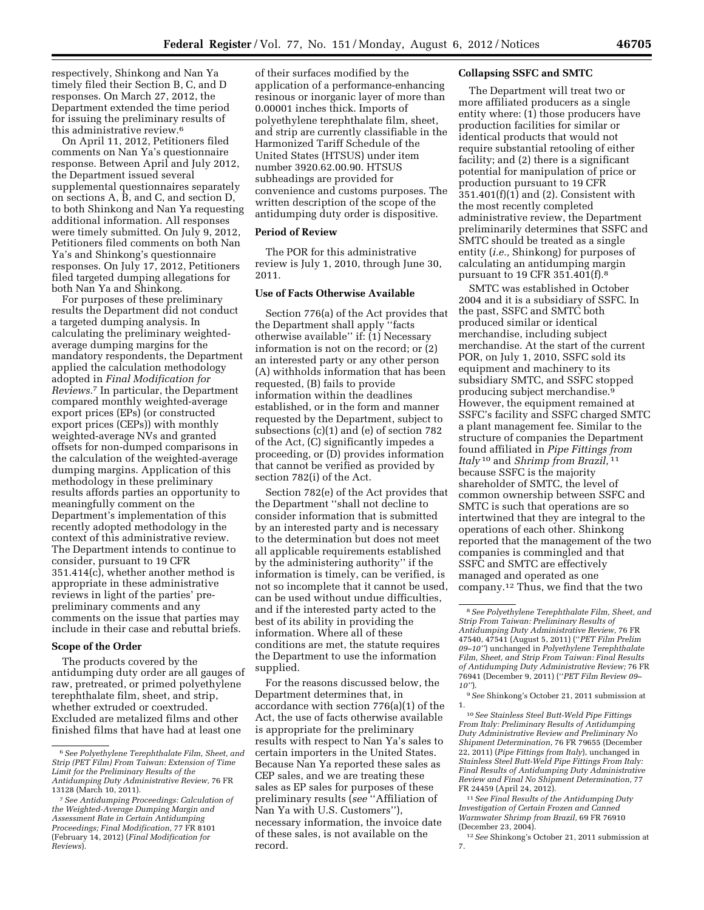respectively, Shinkong and Nan Ya timely filed their Section B, C, and D responses. On March 27, 2012, the Department extended the time period for issuing the preliminary results of this administrative review.<sup>6</sup>

On April 11, 2012, Petitioners filed comments on Nan Ya's questionnaire response. Between April and July 2012, the Department issued several supplemental questionnaires separately on sections A, B, and C, and section D, to both Shinkong and Nan Ya requesting additional information. All responses were timely submitted. On July 9, 2012, Petitioners filed comments on both Nan Ya's and Shinkong's questionnaire responses. On July 17, 2012, Petitioners filed targeted dumping allegations for both Nan Ya and Shinkong.

For purposes of these preliminary results the Department did not conduct a targeted dumping analysis. In calculating the preliminary weightedaverage dumping margins for the mandatory respondents, the Department applied the calculation methodology adopted in *Final Modification for Reviews.*7 In particular, the Department compared monthly weighted-average export prices (EPs) (or constructed export prices (CEPs)) with monthly weighted-average NVs and granted offsets for non-dumped comparisons in the calculation of the weighted-average dumping margins. Application of this methodology in these preliminary results affords parties an opportunity to meaningfully comment on the Department's implementation of this recently adopted methodology in the context of this administrative review. The Department intends to continue to consider, pursuant to 19 CFR 351.414(c), whether another method is appropriate in these administrative reviews in light of the parties' prepreliminary comments and any comments on the issue that parties may include in their case and rebuttal briefs.

#### **Scope of the Order**

The products covered by the antidumping duty order are all gauges of raw, pretreated, or primed polyethylene terephthalate film, sheet, and strip, whether extruded or coextruded. Excluded are metalized films and other finished films that have had at least one

of their surfaces modified by the application of a performance-enhancing resinous or inorganic layer of more than 0.00001 inches thick. Imports of polyethylene terephthalate film, sheet, and strip are currently classifiable in the Harmonized Tariff Schedule of the United States (HTSUS) under item number 3920.62.00.90. HTSUS subheadings are provided for convenience and customs purposes. The written description of the scope of the antidumping duty order is dispositive.

## **Period of Review**

The POR for this administrative review is July 1, 2010, through June 30, 2011.

## **Use of Facts Otherwise Available**

Section 776(a) of the Act provides that the Department shall apply ''facts otherwise available'' if: (1) Necessary information is not on the record; or (2) an interested party or any other person (A) withholds information that has been requested, (B) fails to provide information within the deadlines established, or in the form and manner requested by the Department, subject to subsections (c)(1) and (e) of section 782 of the Act, (C) significantly impedes a proceeding, or (D) provides information that cannot be verified as provided by section 782(i) of the Act.

Section 782(e) of the Act provides that the Department ''shall not decline to consider information that is submitted by an interested party and is necessary to the determination but does not meet all applicable requirements established by the administering authority'' if the information is timely, can be verified, is not so incomplete that it cannot be used, can be used without undue difficulties, and if the interested party acted to the best of its ability in providing the information. Where all of these conditions are met, the statute requires the Department to use the information supplied.

For the reasons discussed below, the Department determines that, in accordance with section 776(a)(1) of the Act, the use of facts otherwise available is appropriate for the preliminary results with respect to Nan Ya's sales to certain importers in the United States. Because Nan Ya reported these sales as CEP sales, and we are treating these sales as EP sales for purposes of these preliminary results (*see* ''Affiliation of Nan Ya with U.S. Customers''), necessary information, the invoice date of these sales, is not available on the record.

#### **Collapsing SSFC and SMTC**

The Department will treat two or more affiliated producers as a single entity where: (1) those producers have production facilities for similar or identical products that would not require substantial retooling of either facility; and (2) there is a significant potential for manipulation of price or production pursuant to 19 CFR 351.401(f)(1) and (2). Consistent with the most recently completed administrative review, the Department preliminarily determines that SSFC and SMTC should be treated as a single entity (*i.e.,* Shinkong) for purposes of calculating an antidumping margin pursuant to 19 CFR 351.401(f).8

SMTC was established in October 2004 and it is a subsidiary of SSFC. In the past, SSFC and SMTC both produced similar or identical merchandise, including subject merchandise. At the start of the current POR, on July 1, 2010, SSFC sold its equipment and machinery to its subsidiary SMTC, and SSFC stopped producing subject merchandise.9 However, the equipment remained at SSFC's facility and SSFC charged SMTC a plant management fee. Similar to the structure of companies the Department found affiliated in *Pipe Fittings from Italy* 10 and *Shrimp from Brazil,* 11 because SSFC is the majority shareholder of SMTC, the level of common ownership between SSFC and SMTC is such that operations are so intertwined that they are integral to the operations of each other. Shinkong reported that the management of the two companies is commingled and that SSFC and SMTC are effectively managed and operated as one company.12 Thus, we find that the two

10*See Stainless Steel Butt-Weld Pipe Fittings From Italy: Preliminary Results of Antidumping Duty Administrative Review and Preliminary No Shipment Determination,* 76 FR 79655 (December 22, 2011) (*Pipe Fittings from Italy*), unchanged in *Stainless Steel Butt-Weld Pipe Fittings From Italy: Final Results of Antidumping Duty Administrative Review and Final No Shipment Determination,* 77 FR 24459 (April 24, 2012).

11*See Final Results of the Antidumping Duty Investigation of Certain Frozen and Canned Warmwater Shrimp from Brazil,* 69 FR 76910 (December 23, 2004).

12*See* Shinkong's October 21, 2011 submission at 7.

<sup>6</sup>*See Polyethylene Terephthalate Film, Sheet, and Strip (PET Film) From Taiwan: Extension of Time Limit for the Preliminary Results of the Antidumping Duty Administrative Review,* 76 FR 13128 (March 10, 2011).

<sup>7</sup>*See Antidumping Proceedings: Calculation of the Weighted-Average Dumping Margin and Assessment Rate in Certain Antidumping Proceedings; Final Modification,* 77 FR 8101 (February 14, 2012) (*Final Modification for Reviews*).

<sup>8</sup>*See Polyethylene Terephthalate Film, Sheet, and Strip From Taiwan: Preliminary Results of Antidumping Duty Administrative Review,* 76 FR 47540, 47541 (August 5, 2011) (''*PET Film Prelim 09–10''*) unchanged in *Polyethylene Terephthalate Film, Sheet, and Strip From Taiwan: Final Results of Antidumping Duty Administrative Review;* 76 FR 76941 (December 9, 2011) (''*PET Film Review 09– 10''*).

<sup>9</sup>*See* Shinkong's October 21, 2011 submission at 1.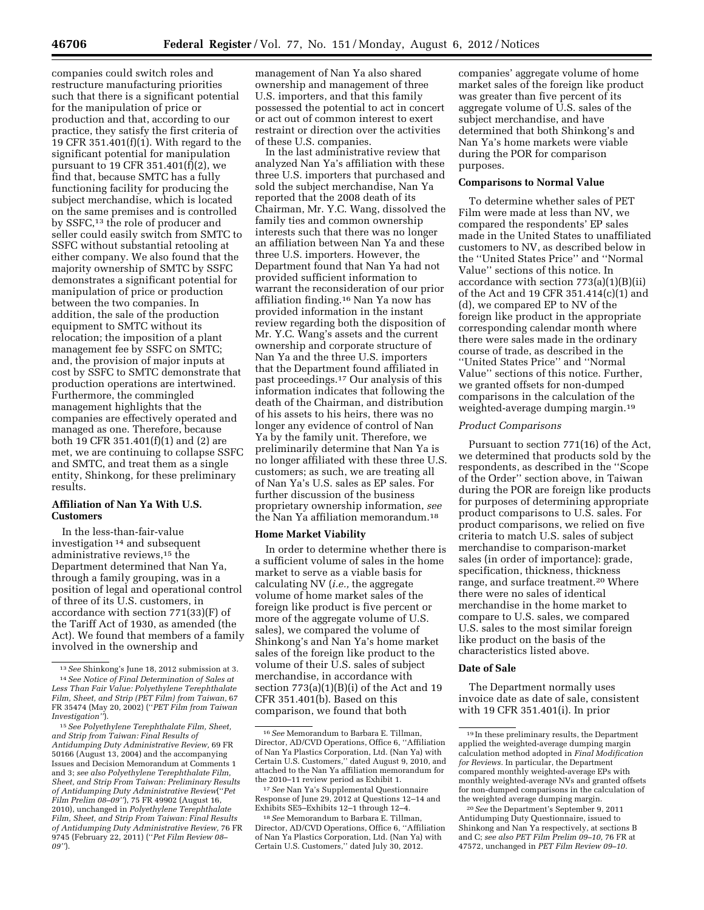companies could switch roles and restructure manufacturing priorities such that there is a significant potential for the manipulation of price or production and that, according to our practice, they satisfy the first criteria of 19 CFR 351.401(f)(1). With regard to the significant potential for manipulation pursuant to 19 CFR 351.401(f)(2), we find that, because SMTC has a fully functioning facility for producing the subject merchandise, which is located on the same premises and is controlled by SSFC,13 the role of producer and seller could easily switch from SMTC to SSFC without substantial retooling at either company. We also found that the majority ownership of SMTC by SSFC demonstrates a significant potential for manipulation of price or production between the two companies. In addition, the sale of the production equipment to SMTC without its relocation; the imposition of a plant management fee by SSFC on SMTC; and, the provision of major inputs at cost by SSFC to SMTC demonstrate that production operations are intertwined. Furthermore, the commingled management highlights that the companies are effectively operated and managed as one. Therefore, because both 19 CFR 351.401(f)(1) and (2) are met, we are continuing to collapse SSFC and SMTC, and treat them as a single entity, Shinkong, for these preliminary results.

# **Affiliation of Nan Ya With U.S. Customers**

In the less-than-fair-value investigation 14 and subsequent administrative reviews,15 the Department determined that Nan Ya, through a family grouping, was in a position of legal and operational control of three of its U.S. customers, in accordance with section 771(33)(F) of the Tariff Act of 1930, as amended (the Act). We found that members of a family involved in the ownership and

management of Nan Ya also shared ownership and management of three U.S. importers, and that this family possessed the potential to act in concert or act out of common interest to exert restraint or direction over the activities of these U.S. companies.

In the last administrative review that analyzed Nan Ya's affiliation with these three U.S. importers that purchased and sold the subject merchandise, Nan Ya reported that the 2008 death of its Chairman, Mr. Y.C. Wang, dissolved the family ties and common ownership interests such that there was no longer an affiliation between Nan Ya and these three U.S. importers. However, the Department found that Nan Ya had not provided sufficient information to warrant the reconsideration of our prior affiliation finding.16 Nan Ya now has provided information in the instant review regarding both the disposition of Mr. Y.C. Wang's assets and the current ownership and corporate structure of Nan Ya and the three U.S. importers that the Department found affiliated in past proceedings.17 Our analysis of this information indicates that following the death of the Chairman, and distribution of his assets to his heirs, there was no longer any evidence of control of Nan Ya by the family unit. Therefore, we preliminarily determine that Nan Ya is no longer affiliated with these three U.S. customers; as such, we are treating all of Nan Ya's U.S. sales as EP sales. For further discussion of the business proprietary ownership information, *see*  the Nan Ya affiliation memorandum.18

## **Home Market Viability**

In order to determine whether there is a sufficient volume of sales in the home market to serve as a viable basis for calculating NV (*i.e.,* the aggregate volume of home market sales of the foreign like product is five percent or more of the aggregate volume of U.S. sales), we compared the volume of Shinkong's and Nan Ya's home market sales of the foreign like product to the volume of their U.S. sales of subject merchandise, in accordance with section  $773(a)(1)(B)(i)$  of the Act and 19 CFR 351.401(b). Based on this comparison, we found that both

companies' aggregate volume of home market sales of the foreign like product was greater than five percent of its aggregate volume of U.S. sales of the subject merchandise, and have determined that both Shinkong's and Nan Ya's home markets were viable during the POR for comparison purposes.

### **Comparisons to Normal Value**

To determine whether sales of PET Film were made at less than NV, we compared the respondents' EP sales made in the United States to unaffiliated customers to NV, as described below in the ''United States Price'' and ''Normal Value'' sections of this notice. In accordance with section  $773(a)(1)(B)(ii)$ of the Act and 19 CFR 351.414(c)(1) and (d), we compared EP to NV of the foreign like product in the appropriate corresponding calendar month where there were sales made in the ordinary course of trade, as described in the ''United States Price'' and ''Normal Value'' sections of this notice. Further, we granted offsets for non-dumped comparisons in the calculation of the weighted-average dumping margin.19

## *Product Comparisons*

Pursuant to section 771(16) of the Act, we determined that products sold by the respondents, as described in the ''Scope of the Order'' section above, in Taiwan during the POR are foreign like products for purposes of determining appropriate product comparisons to U.S. sales. For product comparisons, we relied on five criteria to match U.S. sales of subject merchandise to comparison-market sales (in order of importance): grade, specification, thickness, thickness range, and surface treatment.20 Where there were no sales of identical merchandise in the home market to compare to U.S. sales, we compared U.S. sales to the most similar foreign like product on the basis of the characteristics listed above.

# **Date of Sale**

The Department normally uses invoice date as date of sale, consistent with 19 CFR 351.401(i). In prior

<sup>13</sup>*See* Shinkong's June 18, 2012 submission at 3. 14*See Notice of Final Determination of Sales at Less Than Fair Value: Polyethylene Terephthalate Film, Sheet, and Strip (PET Film) from Taiwan,* 67 FR 35474 (May 20, 2002) (''*PET Film from Taiwan Investigation''*).

<sup>15</sup>*See Polyethylene Terephthalate Film, Sheet, and Strip from Taiwan: Final Results of Antidumping Duty Administrative Review,* 69 FR 50166 (August 13, 2004) and the accompanying Issues and Decision Memorandum at Comments 1 and 3; *see also Polyethylene Terephthalate Film, Sheet, and Strip From Taiwan: Preliminary Results of Antidumping Duty Administrative Review*(''*Pet Film Prelim 08–09''*), 75 FR 49902 (August 16, 2010), unchanged in *Polyethylene Terephthalate Film, Sheet, and Strip From Taiwan: Final Results of Antidumping Duty Administrative Review,* 76 FR 9745 (February 22, 2011) (''*Pet Film Review 08– 09''*).

<sup>16</sup>*See* Memorandum to Barbara E. Tillman, Director, AD/CVD Operations, Office 6, ''Affiliation of Nan Ya Plastics Corporation, Ltd. (Nan Ya) with Certain U.S. Customers,'' dated August 9, 2010, and attached to the Nan Ya affiliation memorandum for the 2010–11 review period as Exhibit 1.

<sup>17</sup>*See* Nan Ya's Supplemental Questionnaire Response of June 29, 2012 at Questions 12–14 and Exhibits SE5–Exhibits 12–1 through 12–4.

<sup>18</sup>*See* Memorandum to Barbara E. Tillman, Director, AD/CVD Operations, Office 6, ''Affiliation of Nan Ya Plastics Corporation, Ltd. (Nan Ya) with Certain U.S. Customers,'' dated July 30, 2012.

<sup>19</sup> In these preliminary results, the Department applied the weighted-average dumping margin calculation method adopted in *Final Modification for Reviews.* In particular, the Department compared monthly weighted-average EPs with monthly weighted-average NVs and granted offsets for non-dumped comparisons in the calculation of the weighted average dumping margin.

<sup>20</sup>*See* the Department's September 9, 2011 Antidumping Duty Questionnaire, issued to Shinkong and Nan Ya respectively, at sections B and C; *see also PET Film Prelim 09–10,* 76 FR at 47572, unchanged in *PET Film Review 09–10.*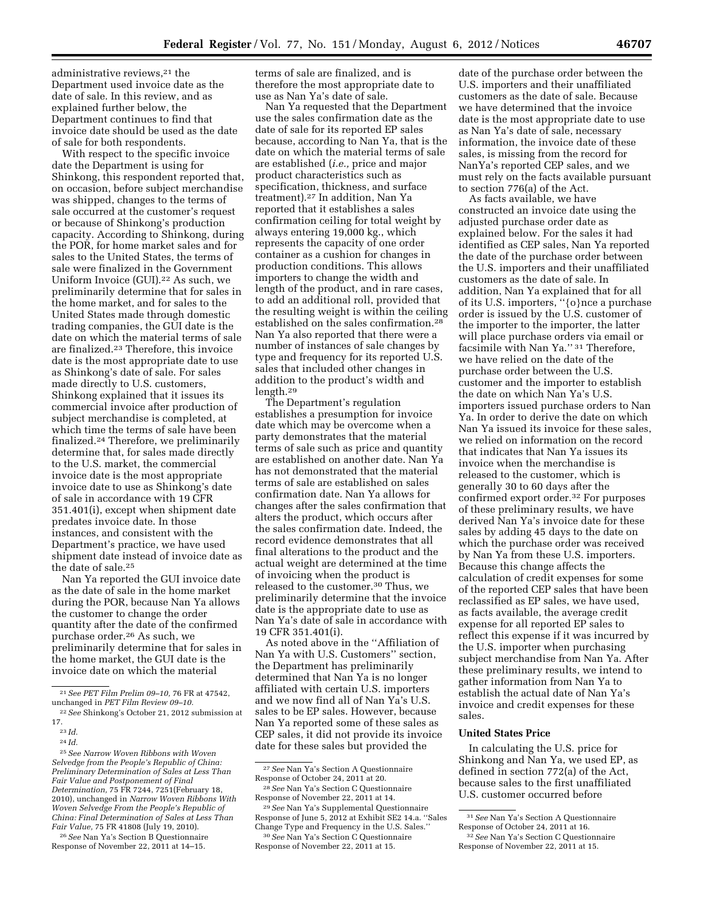administrative reviews,<sup>21</sup> the Department used invoice date as the date of sale. In this review, and as explained further below, the Department continues to find that invoice date should be used as the date of sale for both respondents.

With respect to the specific invoice date the Department is using for Shinkong, this respondent reported that, on occasion, before subject merchandise was shipped, changes to the terms of sale occurred at the customer's request or because of Shinkong's production capacity. According to Shinkong, during the POR, for home market sales and for sales to the United States, the terms of sale were finalized in the Government Uniform Invoice (GUI).<sup>22</sup> As such, we preliminarily determine that for sales in the home market, and for sales to the United States made through domestic trading companies, the GUI date is the date on which the material terms of sale are finalized.23 Therefore, this invoice date is the most appropriate date to use as Shinkong's date of sale. For sales made directly to U.S. customers, Shinkong explained that it issues its commercial invoice after production of subject merchandise is completed, at which time the terms of sale have been finalized.24 Therefore, we preliminarily determine that, for sales made directly to the U.S. market, the commercial invoice date is the most appropriate invoice date to use as Shinkong's date of sale in accordance with 19 CFR 351.401(i), except when shipment date predates invoice date. In those instances, and consistent with the Department's practice, we have used shipment date instead of invoice date as the date of sale.25

Nan Ya reported the GUI invoice date as the date of sale in the home market during the POR, because Nan Ya allows the customer to change the order quantity after the date of the confirmed purchase order.26 As such, we preliminarily determine that for sales in the home market, the GUI date is the invoice date on which the material

26*See* Nan Ya's Section B Questionnaire Response of November 22, 2011 at 14–15.

terms of sale are finalized, and is therefore the most appropriate date to use as Nan Ya's date of sale.

Nan Ya requested that the Department use the sales confirmation date as the date of sale for its reported EP sales because, according to Nan Ya, that is the date on which the material terms of sale are established (*i.e.,* price and major product characteristics such as specification, thickness, and surface treatment).27 In addition, Nan Ya reported that it establishes a sales confirmation ceiling for total weight by always entering 19,000 kg., which represents the capacity of one order container as a cushion for changes in production conditions. This allows importers to change the width and length of the product, and in rare cases, to add an additional roll, provided that the resulting weight is within the ceiling established on the sales confirmation.28 Nan Ya also reported that there were a number of instances of sale changes by type and frequency for its reported U.S. sales that included other changes in addition to the product's width and length.29

The Department's regulation establishes a presumption for invoice date which may be overcome when a party demonstrates that the material terms of sale such as price and quantity are established on another date. Nan Ya has not demonstrated that the material terms of sale are established on sales confirmation date. Nan Ya allows for changes after the sales confirmation that alters the product, which occurs after the sales confirmation date. Indeed, the record evidence demonstrates that all final alterations to the product and the actual weight are determined at the time of invoicing when the product is released to the customer.30 Thus, we preliminarily determine that the invoice date is the appropriate date to use as Nan Ya's date of sale in accordance with 19 CFR 351.401(i).

As noted above in the ''Affiliation of Nan Ya with U.S. Customers'' section, the Department has preliminarily determined that Nan Ya is no longer affiliated with certain U.S. importers and we now find all of Nan Ya's U.S. sales to be EP sales. However, because Nan Ya reported some of these sales as CEP sales, it did not provide its invoice date for these sales but provided the

27*See* Nan Ya's Section A Questionnaire Response of October 24, 2011 at 20.

date of the purchase order between the U.S. importers and their unaffiliated customers as the date of sale. Because we have determined that the invoice date is the most appropriate date to use as Nan Ya's date of sale, necessary information, the invoice date of these sales, is missing from the record for NanYa's reported CEP sales, and we must rely on the facts available pursuant to section 776(a) of the Act.

As facts available, we have constructed an invoice date using the adjusted purchase order date as explained below. For the sales it had identified as CEP sales, Nan Ya reported the date of the purchase order between the U.S. importers and their unaffiliated customers as the date of sale. In addition, Nan Ya explained that for all of its U.S. importers, ''{o}nce a purchase order is issued by the U.S. customer of the importer to the importer, the latter will place purchase orders via email or facsimile with Nan Ya.'' 31 Therefore, we have relied on the date of the purchase order between the U.S. customer and the importer to establish the date on which Nan Ya's U.S. importers issued purchase orders to Nan Ya. In order to derive the date on which Nan Ya issued its invoice for these sales, we relied on information on the record that indicates that Nan Ya issues its invoice when the merchandise is released to the customer, which is generally 30 to 60 days after the confirmed export order.32 For purposes of these preliminary results, we have derived Nan Ya's invoice date for these sales by adding 45 days to the date on which the purchase order was received by Nan Ya from these U.S. importers. Because this change affects the calculation of credit expenses for some of the reported CEP sales that have been reclassified as EP sales, we have used, as facts available, the average credit expense for all reported EP sales to reflect this expense if it was incurred by the U.S. importer when purchasing subject merchandise from Nan Ya. After these preliminary results, we intend to gather information from Nan Ya to establish the actual date of Nan Ya's invoice and credit expenses for these sales.

# **United States Price**

In calculating the U.S. price for Shinkong and Nan Ya, we used EP, as defined in section 772(a) of the Act, because sales to the first unaffiliated U.S. customer occurred before

<sup>21</sup>*See PET Film Prelim 09–10,* 76 FR at 47542, unchanged in *PET Film Review 09–10.* 

<sup>22</sup>*See* Shinkong's October 21, 2012 submission at 17.

<sup>23</sup> *Id.* 

<sup>24</sup> *Id.* 

<sup>25</sup>*See Narrow Woven Ribbons with Woven Selvedge from the People's Republic of China: Preliminary Determination of Sales at Less Than Fair Value and Postponement of Final Determination,* 75 FR 7244, 7251(February 18, 2010), unchanged in *Narrow Woven Ribbons With Woven Selvedge From the People's Republic of China: Final Determination of Sales at Less Than Fair Value,* 75 FR 41808 (July 19, 2010).

<sup>28</sup>*See* Nan Ya's Section C Questionnaire Response of November 22, 2011 at 14.

<sup>29</sup>*See* Nan Ya's Supplemental Questionnaire Response of June 5, 2012 at Exhibit SE2 14.a. ''Sales Change Type and Frequency in the U.S. Sales.'' 30*See* Nan Ya's Section C Questionnaire

Response of November 22, 2011 at 15.

<sup>31</sup>*See* Nan Ya's Section A Questionnaire Response of October 24, 2011 at 16.

<sup>32</sup>*See* Nan Ya's Section C Questionnaire Response of November 22, 2011 at 15.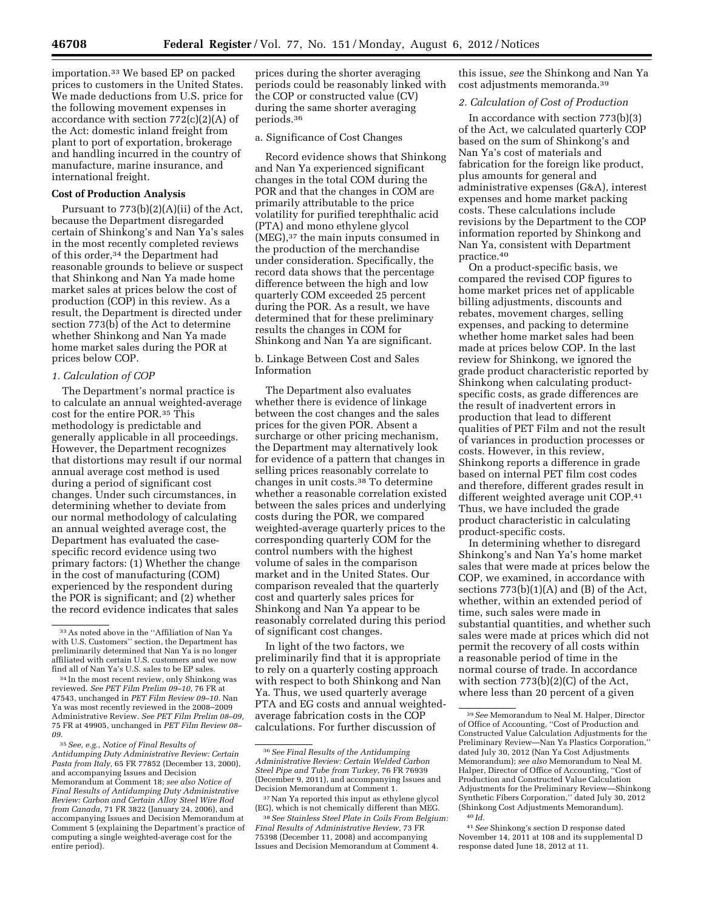importation.33 We based EP on packed prices to customers in the United States. We made deductions from U.S. price for the following movement expenses in accordance with section  $772(c)(2)(A)$  of the Act: domestic inland freight from plant to port of exportation, brokerage and handling incurred in the country of manufacture, marine insurance, and international freight.

## **Cost of Production Analysis**

Pursuant to  $773(b)(2)(A)(ii)$  of the Act, because the Department disregarded certain of Shinkong's and Nan Ya's sales in the most recently completed reviews of this order,<sup>34</sup> the Department had reasonable grounds to believe or suspect that Shinkong and Nan Ya made home market sales at prices below the cost of production (COP) in this review. As a result, the Department is directed under section 773(b) of the Act to determine whether Shinkong and Nan Ya made home market sales during the POR at prices below COP.

## *1. Calculation of COP*

The Department's normal practice is to calculate an annual weighted-average cost for the entire POR.35 This methodology is predictable and generally applicable in all proceedings. However, the Department recognizes that distortions may result if our normal annual average cost method is used during a period of significant cost changes. Under such circumstances, in determining whether to deviate from our normal methodology of calculating an annual weighted average cost, the Department has evaluated the casespecific record evidence using two primary factors: (1) Whether the change in the cost of manufacturing (COM) experienced by the respondent during the POR is significant; and (2) whether the record evidence indicates that sales

prices during the shorter averaging periods could be reasonably linked with the COP or constructed value (CV) during the same shorter averaging periods.36

### a. Significance of Cost Changes

Record evidence shows that Shinkong and Nan Ya experienced significant changes in the total COM during the POR and that the changes in COM are primarily attributable to the price volatility for purified terephthalic acid (PTA) and mono ethylene glycol (MEG),37 the main inputs consumed in the production of the merchandise under consideration. Specifically, the record data shows that the percentage difference between the high and low quarterly COM exceeded 25 percent during the POR. As a result, we have determined that for these preliminary results the changes in COM for Shinkong and Nan Ya are significant.

b. Linkage Between Cost and Sales Information

The Department also evaluates whether there is evidence of linkage between the cost changes and the sales prices for the given POR. Absent a surcharge or other pricing mechanism, the Department may alternatively look for evidence of a pattern that changes in selling prices reasonably correlate to changes in unit costs.38 To determine whether a reasonable correlation existed between the sales prices and underlying costs during the POR, we compared weighted-average quarterly prices to the corresponding quarterly COM for the control numbers with the highest volume of sales in the comparison market and in the United States. Our comparison revealed that the quarterly cost and quarterly sales prices for Shinkong and Nan Ya appear to be reasonably correlated during this period of significant cost changes.

In light of the two factors, we preliminarily find that it is appropriate to rely on a quarterly costing approach with respect to both Shinkong and Nan Ya. Thus, we used quarterly average PTA and EG costs and annual weightedaverage fabrication costs in the COP calculations. For further discussion of

this issue, *see* the Shinkong and Nan Ya cost adjustments memoranda.39

## *2. Calculation of Cost of Production*

In accordance with section 773(b)(3) of the Act, we calculated quarterly COP based on the sum of Shinkong's and Nan Ya's cost of materials and fabrication for the foreign like product, plus amounts for general and administrative expenses (G&A), interest expenses and home market packing costs. These calculations include revisions by the Department to the COP information reported by Shinkong and Nan Ya, consistent with Department practice.40

On a product-specific basis, we compared the revised COP figures to home market prices net of applicable billing adjustments, discounts and rebates, movement charges, selling expenses, and packing to determine whether home market sales had been made at prices below COP. In the last review for Shinkong, we ignored the grade product characteristic reported by Shinkong when calculating productspecific costs, as grade differences are the result of inadvertent errors in production that lead to different qualities of PET Film and not the result of variances in production processes or costs. However, in this review, Shinkong reports a difference in grade based on internal PET film cost codes and therefore, different grades result in different weighted average unit COP.41 Thus, we have included the grade product characteristic in calculating product-specific costs.

In determining whether to disregard Shinkong's and Nan Ya's home market sales that were made at prices below the COP, we examined, in accordance with sections  $773(b)(1)(A)$  and  $(B)$  of the Act, whether, within an extended period of time, such sales were made in substantial quantities, and whether such sales were made at prices which did not permit the recovery of all costs within a reasonable period of time in the normal course of trade. In accordance with section 773(b)(2)(C) of the Act, where less than 20 percent of a given

<sup>33</sup>As noted above in the ''Affiliation of Nan Ya with U.S. Customers'' section, the Department has preliminarily determined that Nan Ya is no longer affiliated with certain U.S. customers and we now find all of Nan Ya's U.S. sales to be EP sales.

<sup>34</sup> In the most recent review, only Shinkong was reviewed. *See PET Film Prelim 09–10,* 76 FR at 47543, unchanged in *PET Film Review 09–10.* Nan Ya was most recently reviewed in the 2008–2009 Administrative Review. *See PET Film Prelim 08–09,*  75 FR at 49905, unchanged in *PET Film Review 08– 09.* 

<sup>35</sup>*See, e.g.*, *Notice of Final Results of Antidumping Duty Administrative Review: Certain Pasta from Italy,* 65 FR 77852 (December 13, 2000), and accompanying Issues and Decision Memorandum at Comment 18; *see also Notice of Final Results of Antidumping Duty Administrative Review: Carbon and Certain Alloy Steel Wire Rod from Canada,* 71 FR 3822 (January 24, 2006), and accompanying Issues and Decision Memorandum at Comment 5 (explaining the Department's practice of computing a single weighted-average cost for the entire period).

<sup>36</sup>*See Final Results of the Antidumping Administrative Review: Certain Welded Carbon Steel Pipe and Tube from Turkey,* 76 FR 76939 (December 9, 2011), and accompanying Issues and Decision Memorandum at Comment 1.

<sup>37</sup>Nan Ya reported this input as ethylene glycol (EG), which is not chemically different than MEG. 38*See Stainless Steel Plate in Coils From Belgium:* 

*Final Results of Administrative Review,* 73 FR 75398 (December 11, 2008) and accompanying Issues and Decision Memorandum at Comment 4.

<sup>39</sup>*See* Memorandum to Neal M. Halper, Director of Office of Accounting, ''Cost of Production and Constructed Value Calculation Adjustments for the Preliminary Review—Nan Ya Plastics Corporation,'' dated July 30, 2012 (Nan Ya Cost Adjustments Memorandum); *see also* Memorandum to Neal M. Halper, Director of Office of Accounting, ''Cost of Production and Constructed Value Calculation Adjustments for the Preliminary Review—Shinkong Synthetic Fibers Corporation,'' dated July 30, 2012 (Shinkong Cost Adjustments Memorandum). 40 *Id.* 

<sup>41</sup>*See* Shinkong's section D response dated November 14, 2011 at 108 and its supplemental D response dated June 18, 2012 at 11.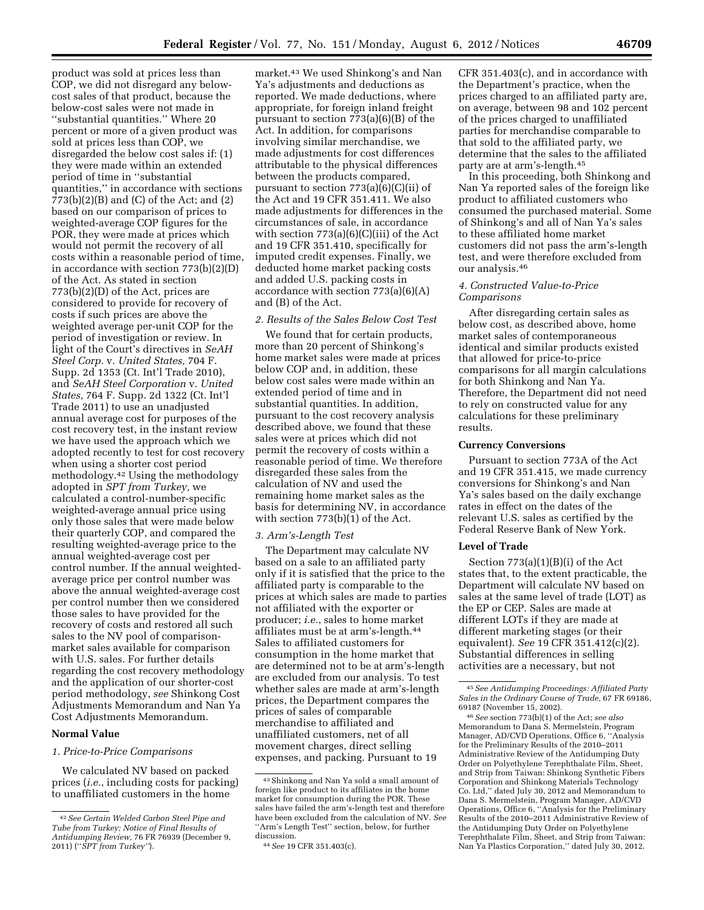product was sold at prices less than COP, we did not disregard any belowcost sales of that product, because the below-cost sales were not made in ''substantial quantities.'' Where 20 percent or more of a given product was sold at prices less than COP, we disregarded the below cost sales if: (1) they were made within an extended period of time in ''substantial quantities,'' in accordance with sections 773(b)(2)(B) and (C) of the Act; and (2) based on our comparison of prices to weighted-average COP figures for the POR, they were made at prices which would not permit the recovery of all costs within a reasonable period of time, in accordance with section 773(b)(2)(D) of the Act. As stated in section 773(b)(2)(D) of the Act, prices are considered to provide for recovery of costs if such prices are above the weighted average per-unit COP for the period of investigation or review. In light of the Court's directives in *SeAH Steel Corp.* v. *United States,* 704 F. Supp. 2d 1353 (Ct. Int'l Trade 2010), and *SeAH Steel Corporation* v. *United States,* 764 F. Supp. 2d 1322 (Ct. Int'l Trade 2011) to use an unadjusted annual average cost for purposes of the cost recovery test, in the instant review we have used the approach which we adopted recently to test for cost recovery when using a shorter cost period methodology.42 Using the methodology adopted in *SPT from Turkey,* we calculated a control-number-specific weighted-average annual price using only those sales that were made below their quarterly COP, and compared the resulting weighted-average price to the annual weighted-average cost per control number. If the annual weightedaverage price per control number was above the annual weighted-average cost per control number then we considered those sales to have provided for the recovery of costs and restored all such sales to the NV pool of comparisonmarket sales available for comparison with U.S. sales. For further details regarding the cost recovery methodology and the application of our shorter-cost period methodology, *see* Shinkong Cost Adjustments Memorandum and Nan Ya Cost Adjustments Memorandum.

# **Normal Value**

## *1. Price-to-Price Comparisons*

We calculated NV based on packed prices (*i.e.*, including costs for packing) to unaffiliated customers in the home

market.43 We used Shinkong's and Nan Ya's adjustments and deductions as reported. We made deductions, where appropriate, for foreign inland freight pursuant to section 773(a)(6)(B) of the Act. In addition, for comparisons involving similar merchandise, we made adjustments for cost differences attributable to the physical differences between the products compared, pursuant to section 773(a)(6)(C)(ii) of the Act and 19 CFR 351.411. We also made adjustments for differences in the circumstances of sale, in accordance with section  $773(a)(6)(C)(iii)$  of the Act and 19 CFR 351.410, specifically for imputed credit expenses. Finally, we deducted home market packing costs and added U.S. packing costs in accordance with section  $773(a)(6)(A)$ and (B) of the Act.

## *2. Results of the Sales Below Cost Test*

We found that for certain products, more than 20 percent of Shinkong's home market sales were made at prices below COP and, in addition, these below cost sales were made within an extended period of time and in substantial quantities. In addition, pursuant to the cost recovery analysis described above, we found that these sales were at prices which did not permit the recovery of costs within a reasonable period of time. We therefore disregarded these sales from the calculation of NV and used the remaining home market sales as the basis for determining NV, in accordance with section 773(b)(1) of the Act.

## *3. Arm's-Length Test*

The Department may calculate NV based on a sale to an affiliated party only if it is satisfied that the price to the affiliated party is comparable to the prices at which sales are made to parties not affiliated with the exporter or producer; *i.e.*, sales to home market affiliates must be at arm's-length.44 Sales to affiliated customers for consumption in the home market that are determined not to be at arm's-length are excluded from our analysis. To test whether sales are made at arm's-length prices, the Department compares the prices of sales of comparable merchandise to affiliated and unaffiliated customers, net of all movement charges, direct selling expenses, and packing. Pursuant to 19

CFR 351.403(c), and in accordance with the Department's practice, when the prices charged to an affiliated party are, on average, between 98 and 102 percent of the prices charged to unaffiliated parties for merchandise comparable to that sold to the affiliated party, we determine that the sales to the affiliated party are at arm's-length.45

In this proceeding, both Shinkong and Nan Ya reported sales of the foreign like product to affiliated customers who consumed the purchased material. Some of Shinkong's and all of Nan Ya's sales to these affiliated home market customers did not pass the arm's-length test, and were therefore excluded from our analysis.46

# *4. Constructed Value-to-Price Comparisons*

After disregarding certain sales as below cost, as described above, home market sales of contemporaneous identical and similar products existed that allowed for price-to-price comparisons for all margin calculations for both Shinkong and Nan Ya. Therefore, the Department did not need to rely on constructed value for any calculations for these preliminary results.

#### **Currency Conversions**

Pursuant to section 773A of the Act and 19 CFR 351.415, we made currency conversions for Shinkong's and Nan Ya's sales based on the daily exchange rates in effect on the dates of the relevant U.S. sales as certified by the Federal Reserve Bank of New York.

## **Level of Trade**

Section 773(a)(1)(B)(i) of the Act states that, to the extent practicable, the Department will calculate NV based on sales at the same level of trade (LOT) as the EP or CEP. Sales are made at different LOTs if they are made at different marketing stages (or their equivalent). *See* 19 CFR 351.412(c)(2). Substantial differences in selling activities are a necessary, but not

<sup>42</sup>*See Certain Welded Carbon Steel Pipe and Tube from Turkey; Notice of Final Results of Antidumping Review,* 76 FR 76939 (December 9, 2011) (''*SPT from Turkey''*).

<sup>43</sup>Shinkong and Nan Ya sold a small amount of foreign like product to its affiliates in the home market for consumption during the POR. These sales have failed the arm's-length test and therefore have been excluded from the calculation of NV. *See*  "Arm's Length Test" section, below, for further discussion.

<sup>44</sup>*See* 19 CFR 351.403(c).

<sup>45</sup>*See Antidumping Proceedings: Affiliated Party Sales in the Ordinary Course of Trade,* 67 FR 69186, 69187 (November 15, 2002).

<sup>46</sup>*See* section 773(b)(1) of the Act; *see also*  Memorandum to Dana S. Mermelstein, Program Manager, AD/CVD Operations, Office 6, ''Analysis for the Preliminary Results of the 2010–2011 Administrative Review of the Antidumping Duty Order on Polyethylene Terephthalate Film, Sheet, and Strip from Taiwan: Shinkong Synthetic Fibers Corporation and Shinkong Materials Technology Co. Ltd,'' dated July 30, 2012 and Memorandum to Dana S. Mermelstein, Program Manager, AD/CVD Operations, Office 6, ''Analysis for the Preliminary Results of the 2010–2011 Administrative Review of the Antidumping Duty Order on Polyethylene Terephthalate Film, Sheet, and Strip from Taiwan: Nan Ya Plastics Corporation,'' dated July 30, 2012.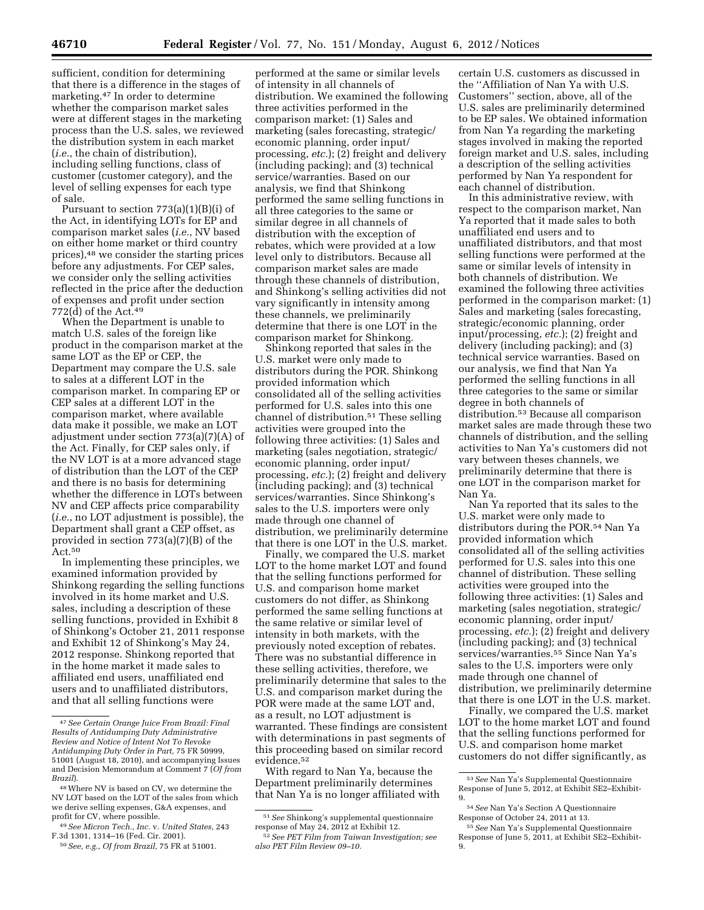sufficient, condition for determining that there is a difference in the stages of marketing.47 In order to determine whether the comparison market sales were at different stages in the marketing process than the U.S. sales, we reviewed the distribution system in each market (*i.e.*, the chain of distribution), including selling functions, class of customer (customer category), and the level of selling expenses for each type of sale.

Pursuant to section  $773(a)(1)(B)(i)$  of the Act, in identifying LOTs for EP and comparison market sales (*i.e.*, NV based on either home market or third country prices),48 we consider the starting prices before any adjustments. For CEP sales, we consider only the selling activities reflected in the price after the deduction of expenses and profit under section 772(d) of the Act.49

When the Department is unable to match U.S. sales of the foreign like product in the comparison market at the same LOT as the EP or CEP, the Department may compare the U.S. sale to sales at a different LOT in the comparison market. In comparing EP or CEP sales at a different LOT in the comparison market, where available data make it possible, we make an LOT adjustment under section 773(a)(7)(A) of the Act. Finally, for CEP sales only, if the NV LOT is at a more advanced stage of distribution than the LOT of the CEP and there is no basis for determining whether the difference in LOTs between NV and CEP affects price comparability (*i.e.*, no LOT adjustment is possible), the Department shall grant a CEP offset, as provided in section 773(a)(7)(B) of the Act.50

In implementing these principles, we examined information provided by Shinkong regarding the selling functions involved in its home market and U.S. sales, including a description of these selling functions, provided in Exhibit 8 of Shinkong's October 21, 2011 response and Exhibit 12 of Shinkong's May 24, 2012 response. Shinkong reported that in the home market it made sales to affiliated end users, unaffiliated end users and to unaffiliated distributors, and that all selling functions were

performed at the same or similar levels of intensity in all channels of distribution. We examined the following three activities performed in the comparison market: (1) Sales and marketing (sales forecasting, strategic/ economic planning, order input/ processing, *etc.*); (2) freight and delivery (including packing); and (3) technical service/warranties. Based on our analysis, we find that Shinkong performed the same selling functions in all three categories to the same or similar degree in all channels of distribution with the exception of rebates, which were provided at a low level only to distributors. Because all comparison market sales are made through these channels of distribution, and Shinkong's selling activities did not vary significantly in intensity among these channels, we preliminarily determine that there is one LOT in the comparison market for Shinkong.

Shinkong reported that sales in the U.S. market were only made to distributors during the POR. Shinkong provided information which consolidated all of the selling activities performed for U.S. sales into this one channel of distribution.51 These selling activities were grouped into the following three activities: (1) Sales and marketing (sales negotiation, strategic/ economic planning, order input/ processing, *etc.*); (2) freight and delivery (including packing); and (3) technical services/warranties. Since Shinkong's sales to the U.S. importers were only made through one channel of distribution, we preliminarily determine that there is one LOT in the U.S. market.

Finally, we compared the U.S. market LOT to the home market LOT and found that the selling functions performed for U.S. and comparison home market customers do not differ, as Shinkong performed the same selling functions at the same relative or similar level of intensity in both markets, with the previously noted exception of rebates. There was no substantial difference in these selling activities, therefore, we preliminarily determine that sales to the U.S. and comparison market during the POR were made at the same LOT and, as a result, no LOT adjustment is warranted. These findings are consistent with determinations in past segments of this proceeding based on similar record evidence.52

With regard to Nan Ya, because the Department preliminarily determines that Nan Ya is no longer affiliated with

certain U.S. customers as discussed in the ''Affiliation of Nan Ya with U.S. Customers'' section, above, all of the U.S. sales are preliminarily determined to be EP sales. We obtained information from Nan Ya regarding the marketing stages involved in making the reported foreign market and U.S. sales, including a description of the selling activities performed by Nan Ya respondent for each channel of distribution.

In this administrative review, with respect to the comparison market, Nan Ya reported that it made sales to both unaffiliated end users and to unaffiliated distributors, and that most selling functions were performed at the same or similar levels of intensity in both channels of distribution. We examined the following three activities performed in the comparison market: (1) Sales and marketing (sales forecasting, strategic/economic planning, order input/processing, *etc.*); (2) freight and delivery (including packing); and (3) technical service warranties. Based on our analysis, we find that Nan Ya performed the selling functions in all three categories to the same or similar degree in both channels of distribution.53 Because all comparison market sales are made through these two channels of distribution, and the selling activities to Nan Ya's customers did not vary between theses channels, we preliminarily determine that there is one LOT in the comparison market for Nan Ya.

Nan Ya reported that its sales to the U.S. market were only made to distributors during the POR.54 Nan Ya provided information which consolidated all of the selling activities performed for U.S. sales into this one channel of distribution. These selling activities were grouped into the following three activities: (1) Sales and marketing (sales negotiation, strategic/ economic planning, order input/ processing, *etc.*); (2) freight and delivery (including packing); and (3) technical services/warranties.55 Since Nan Ya's sales to the U.S. importers were only made through one channel of distribution, we preliminarily determine that there is one LOT in the U.S. market.

Finally, we compared the U.S. market LOT to the home market LOT and found that the selling functions performed for U.S. and comparison home market customers do not differ significantly, as

<sup>47</sup>*See Certain Orange Juice From Brazil: Final Results of Antidumping Duty Administrative Review and Notice of Intent Not To Revoke Antidumping Duty Order in Part,* 75 FR 50999, 51001 (August 18, 2010), and accompanying Issues and Decision Memorandum at Comment 7 (*OJ from Brazil*).

<sup>48</sup>Where NV is based on CV, we determine the NV LOT based on the LOT of the sales from which we derive selling expenses, G&A expenses, and profit for CV, where possible.

<sup>49</sup>*See Micron Tech., Inc.* v. *United States,* 243 F.3d 1301, 1314–16 (Fed. Cir. 2001).

<sup>50</sup>*See, e.g., OJ from Brazil,* 75 FR at 51001.

<sup>51</sup>*See* Shinkong's supplemental questionnaire response of May 24, 2012 at Exhibit 12.

<sup>52</sup>*See PET Film from Taiwan Investigation; see also PET Film Review 09–10.* 

<sup>53</sup>*See* Nan Ya's Supplemental Questionnaire Response of June 5, 2012, at Exhibit SE2–Exhibit-9.

<sup>54</sup>*See* Nan Ya's Section A Questionnaire Response of October 24, 2011 at 13.

<sup>55</sup>*See* Nan Ya's Supplemental Questionnaire Response of June 5, 2011, at Exhibit SE2–Exhibit-9.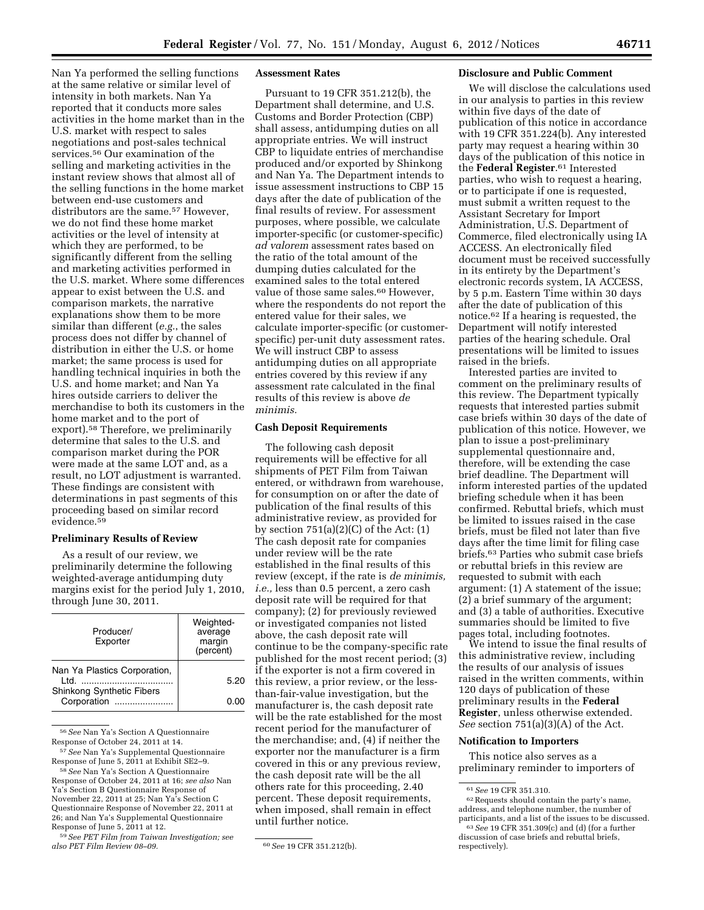Nan Ya performed the selling functions at the same relative or similar level of intensity in both markets. Nan Ya reported that it conducts more sales activities in the home market than in the U.S. market with respect to sales negotiations and post-sales technical services.56 Our examination of the selling and marketing activities in the instant review shows that almost all of the selling functions in the home market between end-use customers and distributors are the same.<sup>57</sup> However. we do not find these home market activities or the level of intensity at which they are performed, to be significantly different from the selling and marketing activities performed in the U.S. market. Where some differences appear to exist between the U.S. and comparison markets, the narrative explanations show them to be more similar than different (*e.g.*, the sales process does not differ by channel of distribution in either the U.S. or home market; the same process is used for handling technical inquiries in both the U.S. and home market; and Nan Ya hires outside carriers to deliver the merchandise to both its customers in the home market and to the port of export).58 Therefore, we preliminarily determine that sales to the U.S. and comparison market during the POR were made at the same LOT and, as a result, no LOT adjustment is warranted. These findings are consistent with determinations in past segments of this proceeding based on similar record evidence.59

# **Preliminary Results of Review**

As a result of our review, we preliminarily determine the following weighted-average antidumping duty margins exist for the period July 1, 2010, through June 30, 2011.

| Producer/<br>Exporter                                                    | Weighted-<br>average<br>margin<br>(percent) |
|--------------------------------------------------------------------------|---------------------------------------------|
| Nan Ya Plastics Corporation,<br>ht I<br><b>Shinkong Synthetic Fibers</b> | 5.20                                        |
| Corporation<br>.                                                         | 0.00                                        |

56*See* Nan Ya's Section A Questionnaire Response of October 24, 2011 at 14.

57*See* Nan Ya's Supplemental Questionnaire Response of June 5, 2011 at Exhibit SE2–9.

58*See* Nan Ya's Section A Questionnaire Response of October 24, 2011 at 16; *see also* Nan Ya's Section B Questionnaire Response of November 22, 2011 at 25; Nan Ya's Section C Questionnaire Response of November 22, 2011 at 26; and Nan Ya's Supplemental Questionnaire Response of June 5, 2011 at 12.

59*See PET Film from Taiwan Investigation; see* 

## **Assessment Rates**

Pursuant to 19 CFR 351.212(b), the Department shall determine, and U.S. Customs and Border Protection (CBP) shall assess, antidumping duties on all appropriate entries. We will instruct CBP to liquidate entries of merchandise produced and/or exported by Shinkong and Nan Ya. The Department intends to issue assessment instructions to CBP 15 days after the date of publication of the final results of review. For assessment purposes, where possible, we calculate importer-specific (or customer-specific) *ad valorem* assessment rates based on the ratio of the total amount of the dumping duties calculated for the examined sales to the total entered value of those same sales.<sup>60</sup> However, where the respondents do not report the entered value for their sales, we calculate importer-specific (or customerspecific) per-unit duty assessment rates. We will instruct CBP to assess antidumping duties on all appropriate entries covered by this review if any assessment rate calculated in the final results of this review is above *de minimis.* 

# **Cash Deposit Requirements**

The following cash deposit requirements will be effective for all shipments of PET Film from Taiwan entered, or withdrawn from warehouse, for consumption on or after the date of publication of the final results of this administrative review, as provided for by section  $751(a)(2)(C)$  of the Act:  $(1)$ The cash deposit rate for companies under review will be the rate established in the final results of this review (except, if the rate is *de minimis, i.e.,* less than 0.5 percent, a zero cash deposit rate will be required for that company); (2) for previously reviewed or investigated companies not listed above, the cash deposit rate will continue to be the company-specific rate published for the most recent period; (3) if the exporter is not a firm covered in this review, a prior review, or the lessthan-fair-value investigation, but the manufacturer is, the cash deposit rate will be the rate established for the most recent period for the manufacturer of the merchandise; and, (4) if neither the exporter nor the manufacturer is a firm covered in this or any previous review, the cash deposit rate will be the all others rate for this proceeding, 2.40 percent. These deposit requirements, when imposed, shall remain in effect until further notice.

## **Disclosure and Public Comment**

We will disclose the calculations used in our analysis to parties in this review within five days of the date of publication of this notice in accordance with 19 CFR 351.224(b). Any interested party may request a hearing within 30 days of the publication of this notice in the **Federal Register**.61 Interested parties, who wish to request a hearing, or to participate if one is requested, must submit a written request to the Assistant Secretary for Import Administration, U.S. Department of Commerce, filed electronically using IA ACCESS. An electronically filed document must be received successfully in its entirety by the Department's electronic records system, IA ACCESS, by 5 p.m. Eastern Time within 30 days after the date of publication of this notice.62 If a hearing is requested, the Department will notify interested parties of the hearing schedule. Oral presentations will be limited to issues raised in the briefs.

Interested parties are invited to comment on the preliminary results of this review. The Department typically requests that interested parties submit case briefs within 30 days of the date of publication of this notice. However, we plan to issue a post-preliminary supplemental questionnaire and, therefore, will be extending the case brief deadline. The Department will inform interested parties of the updated briefing schedule when it has been confirmed. Rebuttal briefs, which must be limited to issues raised in the case briefs, must be filed not later than five days after the time limit for filing case briefs.63 Parties who submit case briefs or rebuttal briefs in this review are requested to submit with each argument: (1) A statement of the issue; (2) a brief summary of the argument; and (3) a table of authorities. Executive summaries should be limited to five pages total, including footnotes.

We intend to issue the final results of this administrative review, including the results of our analysis of issues raised in the written comments, within 120 days of publication of these preliminary results in the **Federal Register**, unless otherwise extended. *See* section 751(a)(3)(A) of the Act.

## **Notification to Importers**

This notice also serves as a preliminary reminder to importers of

*also PET Film Review 08–09.* 60*See* 19 CFR 351.212(b).

<sup>&</sup>lt;sup>61</sup> See 19 CFR 351.310.<br><sup>62</sup> Requests should contain the party's name, address, and telephone number, the number of

<sup>&</sup>lt;sup>63</sup> See 19 CFR 351.309(c) and (d) (for a further discussion of case briefs and rebuttal briefs, respectively).